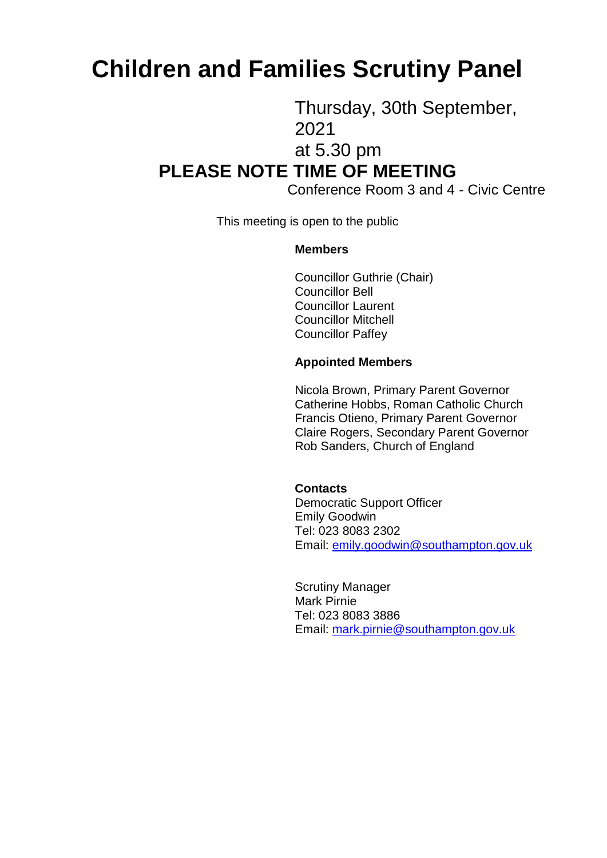# **Children and Families Scrutiny Panel**

Thursday, 30th September, 2021

at 5.30 pm

## **PLEASE NOTE TIME OF MEETING**

Conference Room 3 and 4 - Civic Centre

This meeting is open to the public

#### **Members**

Councillor Guthrie (Chair) Councillor Bell Councillor Laurent Councillor Mitchell Councillor Paffey

#### **Appointed Members**

Nicola Brown, Primary Parent Governor Catherine Hobbs, Roman Catholic Church Francis Otieno, Primary Parent Governor Claire Rogers, Secondary Parent Governor Rob Sanders, Church of England

#### **Contacts**

Democratic Support Officer Emily Goodwin Tel: 023 8083 2302 Email: [emily.goodwin@southampton.gov.uk](mailto:emily.goodwin@southampton.gov.uk)

Scrutiny Manager Mark Pirnie Tel: 023 8083 3886 Email: [mark.pirnie@southampton.gov.uk](mailto:mark.pirnie@southampton.gov.uk)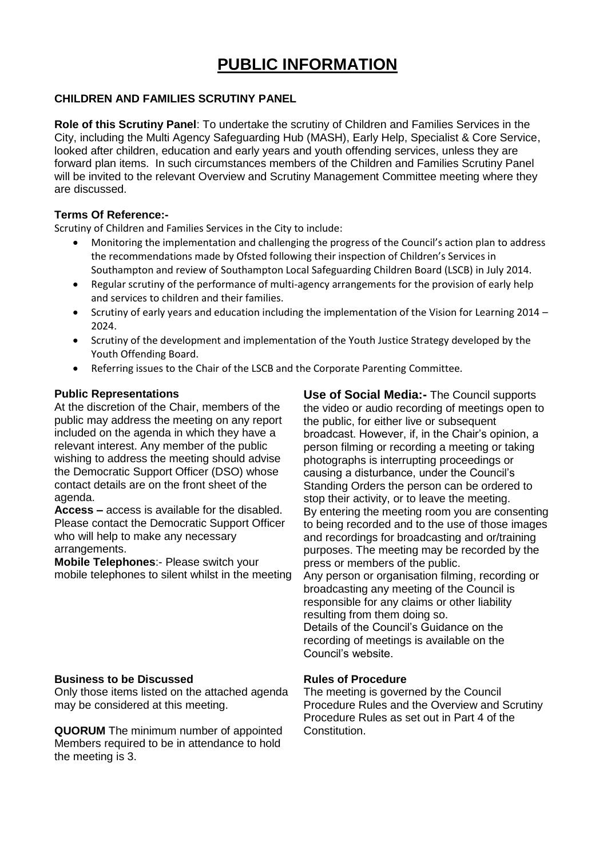### **PUBLIC INFORMATION**

#### **CHILDREN AND FAMILIES SCRUTINY PANEL**

**Role of this Scrutiny Panel**: To undertake the scrutiny of Children and Families Services in the City, including the Multi Agency Safeguarding Hub (MASH), Early Help, Specialist & Core Service, looked after children, education and early years and youth offending services, unless they are forward plan items. In such circumstances members of the Children and Families Scrutiny Panel will be invited to the relevant Overview and Scrutiny Management Committee meeting where they are discussed.

#### **Terms Of Reference:-**

Scrutiny of Children and Families Services in the City to include:

- Monitoring the implementation and challenging the progress of the Council's action plan to address the recommendations made by Ofsted following their inspection of Children's Services in Southampton and review of Southampton Local Safeguarding Children Board (LSCB) in July 2014.
- Regular scrutiny of the performance of multi-agency arrangements for the provision of early help and services to children and their families.
- Scrutiny of early years and education including the implementation of the Vision for Learning 2014 -2024.
- Scrutiny of the development and implementation of the Youth Justice Strategy developed by the Youth Offending Board.
- Referring issues to the Chair of the LSCB and the Corporate Parenting Committee.

#### **Public Representations**

At the discretion of the Chair, members of the public may address the meeting on any report included on the agenda in which they have a relevant interest. Any member of the public wishing to address the meeting should advise the Democratic Support Officer (DSO) whose contact details are on the front sheet of the agenda.

**Access –** access is available for the disabled. Please contact the Democratic Support Officer who will help to make any necessary arrangements.

**Mobile Telephones**:- Please switch your mobile telephones to silent whilst in the meeting

#### **Business to be Discussed**

Only those items listed on the attached agenda may be considered at this meeting.

**QUORUM** The minimum number of appointed Members required to be in attendance to hold the meeting is 3.

**Use of Social Media:-** The Council supports the video or audio recording of meetings open to the public, for either live or subsequent broadcast. However, if, in the Chair's opinion, a person filming or recording a meeting or taking photographs is interrupting proceedings or causing a disturbance, under the Council's Standing Orders the person can be ordered to stop their activity, or to leave the meeting. By entering the meeting room you are consenting to being recorded and to the use of those images and recordings for broadcasting and or/training purposes. The meeting may be recorded by the press or members of the public. Any person or organisation filming, recording or broadcasting any meeting of the Council is responsible for any claims or other liability resulting from them doing so. Details of the Council's Guidance on the recording of meetings is available on the Council's website.

#### **Rules of Procedure**

The meeting is governed by the Council Procedure Rules and the Overview and Scrutiny Procedure Rules as set out in Part 4 of the Constitution.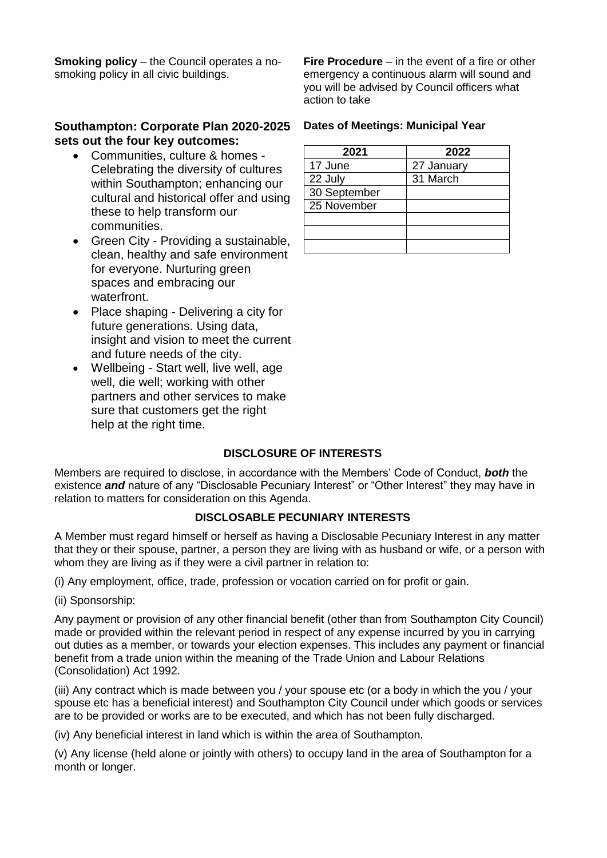**Smoking policy** – the Council operates a nosmoking policy in all civic buildings.

#### **Southampton: Corporate Plan 2020-2025 sets out the four key outcomes:**

- Communities, culture & homes Celebrating the diversity of cultures within Southampton; enhancing our cultural and historical offer and using these to help transform our communities.
- Green City Providing a sustainable, clean, healthy and safe environment for everyone. Nurturing green spaces and embracing our waterfront.
- Place shaping Delivering a city for future generations. Using data, insight and vision to meet the current and future needs of the city.
- Wellbeing Start well, live well, age well, die well; working with other partners and other services to make sure that customers get the right help at the right time.

**Fire Procedure** – in the event of a fire or other emergency a continuous alarm will sound and you will be advised by Council officers what action to take

#### **Dates of Meetings: Municipal Year**

| 2021         | 2022       |
|--------------|------------|
| 17 June      | 27 January |
| 22 July      | 31 March   |
| 30 September |            |
| 25 November  |            |
|              |            |
|              |            |
|              |            |

#### **DISCLOSURE OF INTERESTS**

Members are required to disclose, in accordance with the Members' Code of Conduct, *both* the existence *and* nature of any "Disclosable Pecuniary Interest" or "Other Interest" they may have in relation to matters for consideration on this Agenda.

#### **DISCLOSABLE PECUNIARY INTERESTS**

A Member must regard himself or herself as having a Disclosable Pecuniary Interest in any matter that they or their spouse, partner, a person they are living with as husband or wife, or a person with whom they are living as if they were a civil partner in relation to:

(i) Any employment, office, trade, profession or vocation carried on for profit or gain.

(ii) Sponsorship:

Any payment or provision of any other financial benefit (other than from Southampton City Council) made or provided within the relevant period in respect of any expense incurred by you in carrying out duties as a member, or towards your election expenses. This includes any payment or financial benefit from a trade union within the meaning of the Trade Union and Labour Relations (Consolidation) Act 1992.

(iii) Any contract which is made between you / your spouse etc (or a body in which the you / your spouse etc has a beneficial interest) and Southampton City Council under which goods or services are to be provided or works are to be executed, and which has not been fully discharged.

(iv) Any beneficial interest in land which is within the area of Southampton.

(v) Any license (held alone or jointly with others) to occupy land in the area of Southampton for a month or longer.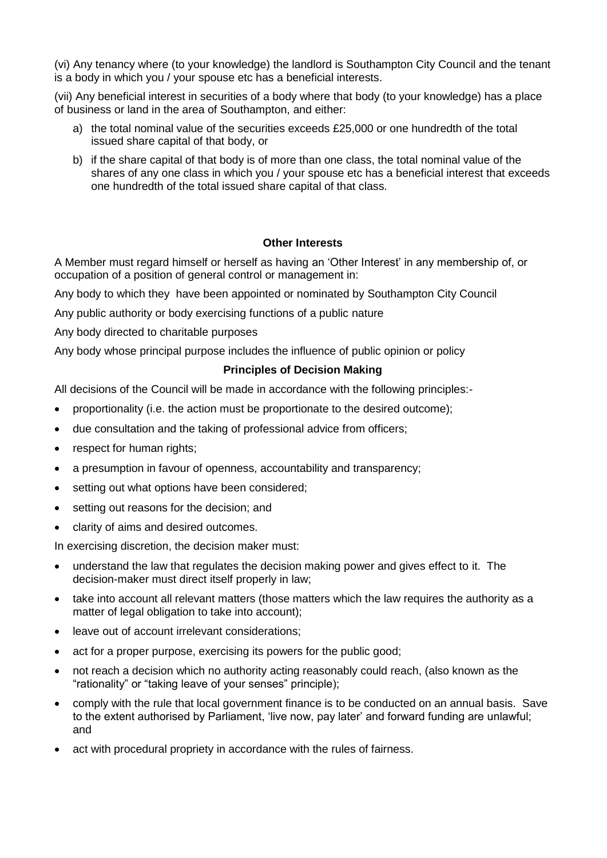(vi) Any tenancy where (to your knowledge) the landlord is Southampton City Council and the tenant is a body in which you / your spouse etc has a beneficial interests.

(vii) Any beneficial interest in securities of a body where that body (to your knowledge) has a place of business or land in the area of Southampton, and either:

- a) the total nominal value of the securities exceeds £25,000 or one hundredth of the total issued share capital of that body, or
- b) if the share capital of that body is of more than one class, the total nominal value of the shares of any one class in which you / your spouse etc has a beneficial interest that exceeds one hundredth of the total issued share capital of that class.

#### **Other Interests**

A Member must regard himself or herself as having an 'Other Interest' in any membership of, or occupation of a position of general control or management in:

Any body to which they have been appointed or nominated by Southampton City Council

Any public authority or body exercising functions of a public nature

Any body directed to charitable purposes

Any body whose principal purpose includes the influence of public opinion or policy

#### **Principles of Decision Making**

All decisions of the Council will be made in accordance with the following principles:-

- proportionality (i.e. the action must be proportionate to the desired outcome);
- due consultation and the taking of professional advice from officers;
- respect for human rights;
- a presumption in favour of openness, accountability and transparency;
- setting out what options have been considered;
- setting out reasons for the decision; and
- clarity of aims and desired outcomes.

In exercising discretion, the decision maker must:

- understand the law that regulates the decision making power and gives effect to it. The decision-maker must direct itself properly in law;
- take into account all relevant matters (those matters which the law requires the authority as a matter of legal obligation to take into account);
- leave out of account irrelevant considerations;
- act for a proper purpose, exercising its powers for the public good;
- not reach a decision which no authority acting reasonably could reach, (also known as the "rationality" or "taking leave of your senses" principle);
- comply with the rule that local government finance is to be conducted on an annual basis. Save to the extent authorised by Parliament, 'live now, pay later' and forward funding are unlawful; and
- act with procedural propriety in accordance with the rules of fairness.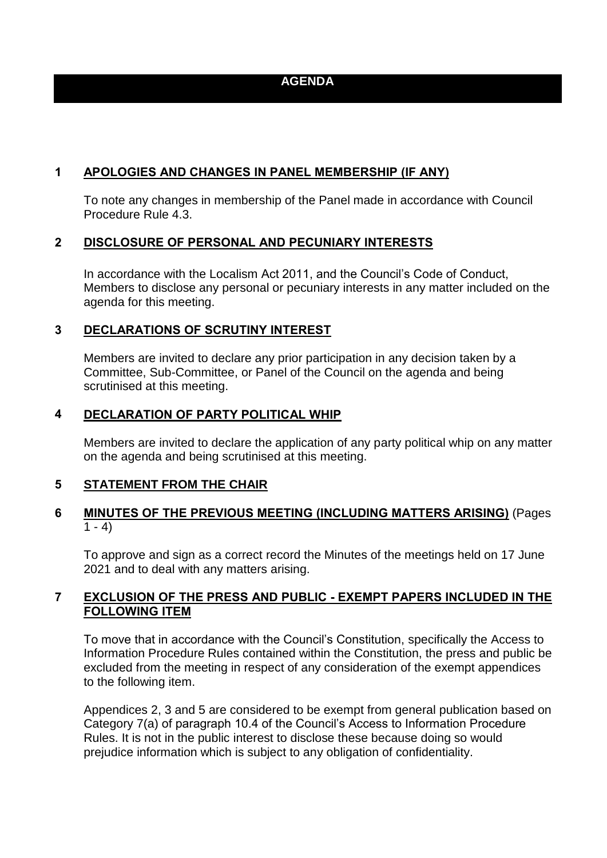#### **AGENDA**

#### **1 APOLOGIES AND CHANGES IN PANEL MEMBERSHIP (IF ANY)**

To note any changes in membership of the Panel made in accordance with Council Procedure Rule 4.3.

#### **2 DISCLOSURE OF PERSONAL AND PECUNIARY INTERESTS**

In accordance with the Localism Act 2011, and the Council's Code of Conduct, Members to disclose any personal or pecuniary interests in any matter included on the agenda for this meeting.

#### **3 DECLARATIONS OF SCRUTINY INTEREST**

Members are invited to declare any prior participation in any decision taken by a Committee, Sub-Committee, or Panel of the Council on the agenda and being scrutinised at this meeting.

#### **4 DECLARATION OF PARTY POLITICAL WHIP**

Members are invited to declare the application of any party political whip on any matter on the agenda and being scrutinised at this meeting.

#### **5 STATEMENT FROM THE CHAIR**

#### **6 MINUTES OF THE PREVIOUS MEETING (INCLUDING MATTERS ARISING)** (Pages  $\overline{1}$  - 4)

To approve and sign as a correct record the Minutes of the meetings held on 17 June 2021 and to deal with any matters arising.

#### **7 EXCLUSION OF THE PRESS AND PUBLIC - EXEMPT PAPERS INCLUDED IN THE FOLLOWING ITEM**

To move that in accordance with the Council's Constitution, specifically the Access to Information Procedure Rules contained within the Constitution, the press and public be excluded from the meeting in respect of any consideration of the exempt appendices to the following item.

Appendices 2, 3 and 5 are considered to be exempt from general publication based on Category 7(a) of paragraph 10.4 of the Council's Access to Information Procedure Rules. It is not in the public interest to disclose these because doing so would prejudice information which is subject to any obligation of confidentiality.